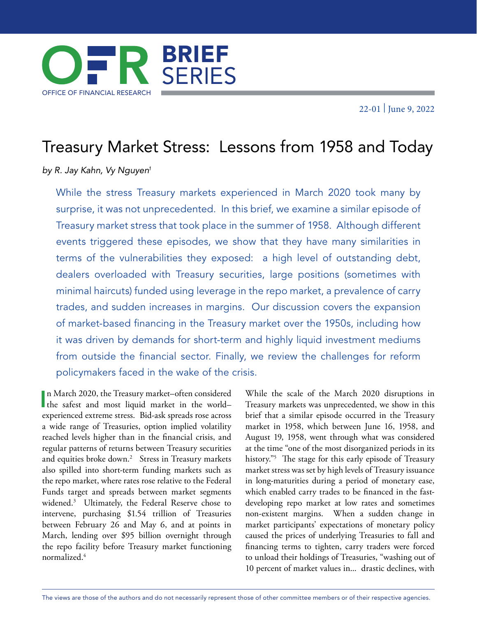22-01 | June 9, 2022

<span id="page-0-0"></span>

# Treasury Market Stress: Lessons from 1958 and Today

*by R. Jay Kahn, Vy Nguye[n1](#page-14-0)*

While the stress Treasury markets experienced in March 2020 took many by surprise, it was not unprecedented. In this brief, we examine a similar episode of Treasury market stress that took place in the summer of 1958. Although different events triggered these episodes, we show that they have many similarities in terms of the vulnerabilities they exposed: a high level of outstanding debt, dealers overloaded with Treasury securities, large positions (sometimes with minimal haircuts) funded using leverage in the repo market, a prevalence of carry trades, and sudden increases in margins. Our discussion covers the expansion of market-based financing in the Treasury market over the 1950s, including how it was driven by demands for short-term and highly liquid investment mediums from outside the financial sector. Finally, we review the challenges for reform policymakers faced in the wake of the crisis.

In March 2020, the Treasury market–often considered<br>the safest and most liquid market in the world– n March 2020, the Treasury market–often considered experienced extreme stress. Bid-ask spreads rose across a wide range of Treasuries, option implied volatility reached levels higher than in the financial crisis, and regular patterns of returns between Treasury securities and equities broke down.<sup>[2](#page-14-0)</sup> Stress in Treasury markets also spilled into short-term funding markets such as the repo market, where rates rose relative to the Federal Funds target and spreads between market segments widened[.3](#page-14-0) Ultimately, the Federal Reserve chose to intervene, purchasing \$1.54 trillion of Treasuries between February 26 and May 6, and at points in March, lending over \$95 billion overnight through the repo facility before Treasury market functioning normalized[.4](#page-14-0)

While the scale of the March 2020 disruptions in Treasury markets was unprecedented, we show in this brief that a similar episode occurred in the Treasury market in 1958, which between June 16, 1958, and August 19, 1958, went through what was considered at the time "one of the most disorganized periods in its history."[5](#page-14-0) The stage for this early episode of Treasury market stress was set by high levels of Treasury issuance in long-maturities during a period of monetary ease, which enabled carry trades to be financed in the fastdeveloping repo market at low rates and sometimes non-existent margins. When a sudden change in market participants' expectations of monetary policy caused the prices of underlying Treasuries to fall and financing terms to tighten, carry traders were forced to unload their holdings of Treasuries, "washing out of 10 percent of market values in... drastic declines, with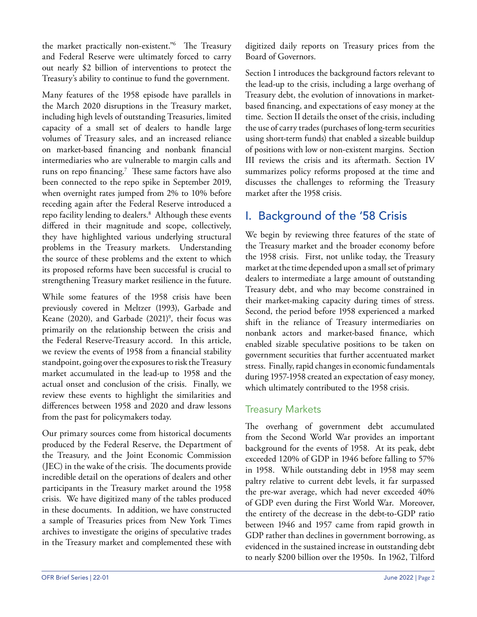<span id="page-1-0"></span>the market practically non-existent.["6](#page-14-0) The Treasury and Federal Reserve were ultimately forced to carry out nearly \$2 billion of interventions to protect the Treasury's ability to continue to fund the government.

Many features of the 1958 episode have parallels in the March 2020 disruptions in the Treasury market, including high levels of outstanding Treasuries, limited capacity of a small set of dealers to handle large volumes of Treasury sales, and an increased reliance on market-based financing and nonbank financial intermediaries who are vulnerable to margin calls and runs on repo financing.[7](#page-14-0) These same factors have also been connected to the repo spike in September 2019, when overnight rates jumped from 2% to 10% before receding again after the Federal Reserve introduced a repo facility lending to dealers.[8](#page-14-0) Although these events differed in their magnitude and scope, collectively, they have highlighted various underlying structural problems in the Treasury markets. Understanding the source of these problems and the extent to which its proposed reforms have been successful is crucial to strengthening Treasury market resilience in the future.

While some features of the 1958 crisis have been previously covered in Meltzer (1993), Garbade and Keane (2020), and Garbade (2021)<sup>9</sup>, their focus was primarily on the relationship between the crisis and the Federal Reserve-Treasury accord. In this article, we review the events of 1958 from a financial stability standpoint, going over the exposures to risk the Treasury market accumulated in the lead-up to 1958 and the actual onset and conclusion of the crisis. Finally, we review these events to highlight the similarities and differences between 1958 and 2020 and draw lessons from the past for policymakers today.

Our primary sources come from historical documents produced by the Federal Reserve, the Department of the Treasury, and the Joint Economic Commission (JEC) in the wake of the crisis. The documents provide incredible detail on the operations of dealers and other participants in the Treasury market around the 1958 crisis. We have digitized many of the tables produced in these documents. In addition, we have constructed a sample of Treasuries prices from New York Times archives to investigate the origins of speculative trades in the Treasury market and complemented these with

digitized daily reports on Treasury prices from the Board of Governors.

Section I introduces the background factors relevant to the lead-up to the crisis, including a large overhang of Treasury debt, the evolution of innovations in marketbased financing, and expectations of easy money at the time. Section II details the onset of the crisis, including the use of carry trades (purchases of long-term securities using short-term funds) that enabled a sizeable buildup of positions with low or non-existent margins. Section III reviews the crisis and its aftermath. Section IV summarizes policy reforms proposed at the time and discusses the challenges to reforming the Treasury market after the 1958 crisis.

# I. Background of the '58 Crisis

We begin by reviewing three features of the state of the Treasury market and the broader economy before the 1958 crisis. First, not unlike today, the Treasury market at the time depended upon a small set of primary dealers to intermediate a large amount of outstanding Treasury debt, and who may become constrained in their market-making capacity during times of stress. Second, the period before 1958 experienced a marked shift in the reliance of Treasury intermediaries on nonbank actors and market-based finance, which enabled sizable speculative positions to be taken on government securities that further accentuated market stress. Finally, rapid changes in economic fundamentals during 1957-1958 created an expectation of easy money, which ultimately contributed to the 1958 crisis.

### Treasury Markets

The overhang of government debt accumulated from the Second World War provides an important background for the events of 1958. At its peak, debt exceeded 120% of GDP in 1946 before falling to 57% in 1958. While outstanding debt in 1958 may seem paltry relative to current debt levels, it far surpassed the pre-war average, which had never exceeded 40% of GDP even during the First World War. Moreover, the entirety of the decrease in the debt-to-GDP ratio between 1946 and 1957 came from rapid growth in GDP rather than declines in government borrowing, as evidenced in the sustained increase in outstanding debt to nearly \$200 billion over the 1950s. In 1962, Tilford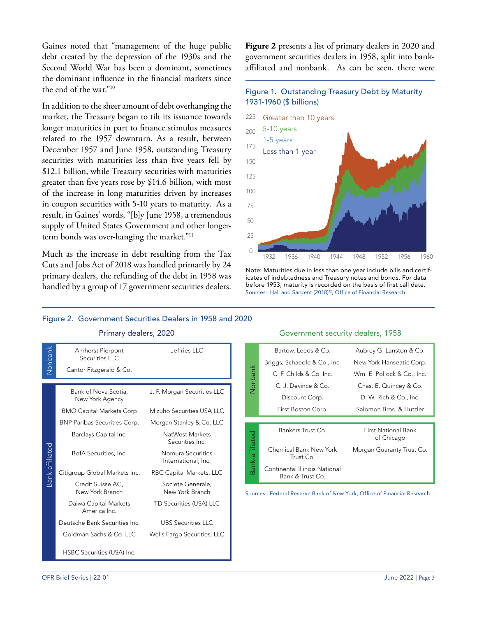<span id="page-2-0"></span>Gaines noted that "management of the huge public debt created by the depression of the 1930s and the Second World War has been a dominant, sometimes the dominant influence in the financial markets since the end of the war.["10](#page-14-0) 

In addition to the sheer amount of debt overhanging the market, the Treasury began to tilt its issuance towards longer maturities in part to finance stimulus measures related to the 1957 downturn. As a result, between December 1957 and June 1958, outstanding Treasury securities with maturities less than five years fell by \$12.1 billion, while Treasury securities with maturities greater than five years rose by \$14.6 billion, with most of the increase in long maturities driven by increases in coupon securities with 5-10 years to maturity. As a result, in Gaines' words, "[b]y June 1958, a tremendous supply of United States Government and other longerterm bonds was over-hanging the market."<sup>11</sup>

Much as the increase in debt resulting from the Tax Cuts and Jobs Act of 2018 was handled primarily by 24 primary dealers, the refunding of the debt in 1958 was handled by a group of 17 government securities dealers.

#### Figure 2. Government Securities Dealers in 1958 and 2020

#### Amherst Pierpont Jeffries LLC Nonbank Securities LLC Cantor Fitzgerald & Co. Bank of Nova Scotia, J. P. Morgan Securities LLC New York Agency BMO Capital Markets Corp Mizuho Securities USA LLC BNP Paribas Securities Corp. Morgan Stanley & Co. LLC Barclays Capital Inc. NatWest Markets Securities Inc. Bank-affiliated Bank-affiliated BofA Securities, Inc. Nomura Securities International, Inc. Citigroup Global Markets Inc. RBC Capital Markets, LLC Credit Suisse AG, Societe Generale, New York Branch New York Branch Daiwa Capital Markets TD Securities (USA) LLC America Inc. Deutsche Bank Securities Inc. UBS Securities LLC Goldman Sachs & Co. LLC Wells Fargo Securities, LLC HSBC Securities (USA) Inc.

**Figure 2** presents a list of primary dealers in 2020 and government securities dealers in 1958, split into bankaffiliated and nonbank. As can be seen, there were

#### Figure 1. Outstanding Treasury Debt by Maturity 1931-1960 (\$ billions)



Note: Maturities due in less than one year include bills and certificates of indebtedness and Treasury notes and bonds. For data before 1953, maturity is recorded on the basis of first call date. Sources: Hall and Sargent (2018)<sup>[12](#page-14-0)</sup>, Office of Financial Research

Government security dealers, 1958

| Nonbank         | Bartow, Leeds & Co.                               | Aubrey G. Lanston & Co.           |
|-----------------|---------------------------------------------------|-----------------------------------|
|                 | Briggs, Schaedle & Co., Inc.                      | New York Hanseatic Corp.          |
|                 | C. F. Childs & Co. Inc.                           | Wm. E. Pollock & Co., Inc.        |
|                 | C. J. Devince & Co.                               | Chas. E. Quincey & Co.            |
|                 | Discount Corp.                                    | D. W. Rich & Co., Inc.            |
|                 | First Boston Corp.                                | Salomon Bros, & Hutzler           |
|                 |                                                   |                                   |
|                 |                                                   |                                   |
|                 | Bankers Trust Co.                                 | First National Bank<br>of Chicago |
|                 | Chemical Bank New York<br>Trust Co.               | Morgan Guaranty Trust Co.         |
| Bank-affiliated | Continental Illinois National<br>Bank & Trust Co. |                                   |

#### Primary dealers, 2020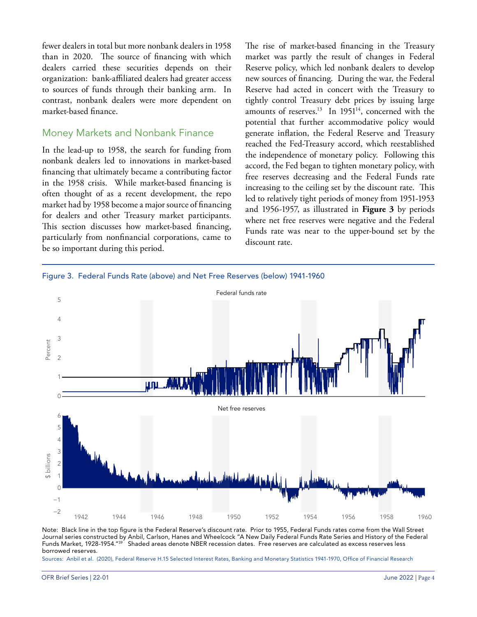<span id="page-3-0"></span>fewer dealers in total but more nonbank dealers in 1958 than in 2020. The source of financing with which dealers carried these securities depends on their organization: bank-affiliated dealers had greater access to sources of funds through their banking arm. In contrast, nonbank dealers were more dependent on market-based finance.

### Money Markets and Nonbank Finance

In the lead-up to 1958, the search for funding from nonbank dealers led to innovations in market-based financing that ultimately became a contributing factor in the 1958 crisis. While market-based financing is often thought of as a recent development, the repo market had by 1958 become a major source of financing for dealers and other Treasury market participants. This section discusses how market-based financing, particularly from nonfinancial corporations, came to be so important during this period.

The rise of market-based financing in the Treasury market was partly the result of changes in Federal Reserve policy, which led nonbank dealers to develop new sources of financing. During the war, the Federal Reserve had acted in concert with the Treasury to tightly control Treasury debt prices by issuing large amounts of reserves.<sup>13</sup> In 1951<sup>14</sup>, concerned with the potential that further accommodative policy would generate inflation, the Federal Reserve and Treasury reached the Fed-Treasury accord, which reestablished the independence of monetary policy. Following this accord, the Fed began to tighten monetary policy, with free reserves decreasing and the Federal Funds rate increasing to the ceiling set by the discount rate. This led to relatively tight periods of money from 1951-1953 and 1956-1957, as illustrated in **Figure 3** by periods where net free reserves were negative and the Federal Funds rate was near to the upper-bound set by the discount rate.



.<br>Note: Black line in the top figure is the Federal Reserve's discount rate. Prior to 1955, Federal Funds rates come from the Wall Street Journal series constructed by Anbil, Carlson, Hanes and Wheelcock "A New Daily Federal Funds Rate Series and History of the Federal Funds Market, 1928-1954."<sup>39</sup> Shaded areas denote NBER recession dates. Free reserves are calculated as excess reserves less borrowed reserves.

Sources: Anbil et al. (2020), Federal Reserve H.15 Selected Interest Rates, Banking and Monetary Statistics 1941-1970, Office of Financial Research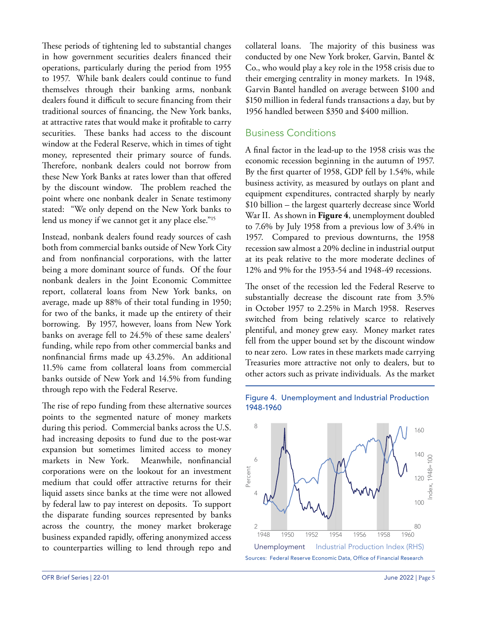<span id="page-4-0"></span>These periods of tightening led to substantial changes in how government securities dealers financed their operations, particularly during the period from 1955 to 1957. While bank dealers could continue to fund themselves through their banking arms, nonbank dealers found it difficult to secure financing from their traditional sources of financing, the New York banks, at attractive rates that would make it profitable to carry securities. These banks had access to the discount window at the Federal Reserve, which in times of tight money, represented their primary source of funds. Therefore, nonbank dealers could not borrow from these New York Banks at rates lower than that offered by the discount window. The problem reached the point where one nonbank dealer in Senate testimony stated: "We only depend on the New York banks to lend us money if we cannot get it any place else."<sup>[15](#page-14-0)</sup>

Instead, nonbank dealers found ready sources of cash both from commercial banks outside of New York City and from nonfinancial corporations, with the latter being a more dominant source of funds. Of the four nonbank dealers in the Joint Economic Committee report, collateral loans from New York banks, on average, made up 88% of their total funding in 1950; for two of the banks, it made up the entirety of their borrowing. By 1957, however, loans from New York banks on average fell to 24.5% of these same dealers' funding, while repo from other commercial banks and nonfinancial firms made up 43.25%. An additional 11.5% came from collateral loans from commercial banks outside of New York and 14.5% from funding through repo with the Federal Reserve.

The rise of repo funding from these alternative sources points to the segmented nature of money markets during this period. Commercial banks across the U.S. had increasing deposits to fund due to the post-war expansion but sometimes limited access to money markets in New York. Meanwhile, nonfinancial corporations were on the lookout for an investment medium that could offer attractive returns for their liquid assets since banks at the time were not allowed by federal law to pay interest on deposits. To support the disparate funding sources represented by banks across the country, the money market brokerage business expanded rapidly, offering anonymized access to counterparties willing to lend through repo and

collateral loans. The majority of this business was conducted by one New York broker, Garvin, Bantel & Co., who would play a key role in the 1958 crisis due to their emerging centrality in money markets. In 1948, Garvin Bantel handled on average between \$100 and \$150 million in federal funds transactions a day, but by 1956 handled between \$350 and \$400 million.

### Business Conditions

A final factor in the lead-up to the 1958 crisis was the economic recession beginning in the autumn of 1957. By the first quarter of 1958, GDP fell by 1.54%, while business activity, as measured by outlays on plant and equipment expenditures, contracted sharply by nearly \$10 billion – the largest quarterly decrease since World War II. As shown in **Figure 4**, unemployment doubled to 7.6% by July 1958 from a previous low of 3.4% in 1957. Compared to previous downturns, the 1958 recession saw almost a 20% decline in industrial output at its peak relative to the more moderate declines of 12% and 9% for the 1953-54 and 1948-49 recessions.

The onset of the recession led the Federal Reserve to substantially decrease the discount rate from 3.5% in October 1957 to 2.25% in March 1958. Reserves switched from being relatively scarce to relatively plentiful, and money grew easy. Money market rates fell from the upper bound set by the discount window to near zero. Low rates in these markets made carrying Treasuries more attractive not only to dealers, but to other actors such as private individuals. As the market



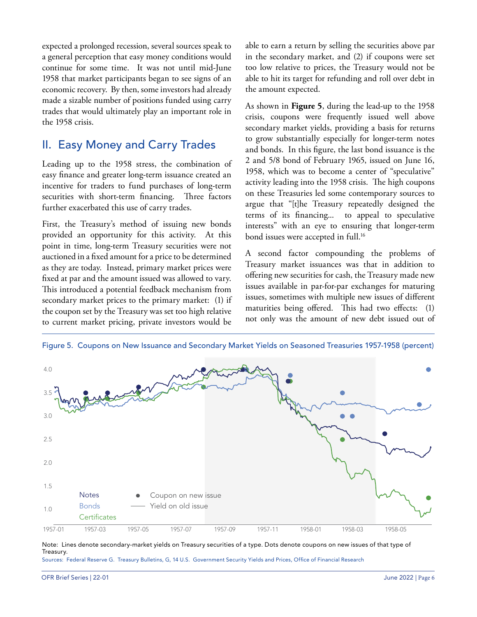<span id="page-5-0"></span>expected a prolonged recession, several sources speak to a general perception that easy money conditions would continue for some time. It was not until mid-June 1958 that market participants began to see signs of an economic recovery. By then, some investors had already made a sizable number of positions funded using carry trades that would ultimately play an important role in the 1958 crisis.

### II. Easy Money and Carry Trades

Leading up to the 1958 stress, the combination of easy finance and greater long-term issuance created an incentive for traders to fund purchases of long-term securities with short-term financing. Three factors further exacerbated this use of carry trades.

First, the Treasury's method of issuing new bonds provided an opportunity for this activity. At this point in time, long-term Treasury securities were not auctioned in a fixed amount for a price to be determined as they are today. Instead, primary market prices were fixed at par and the amount issued was allowed to vary. This introduced a potential feedback mechanism from secondary market prices to the primary market: (1) if the coupon set by the Treasury was set too high relative to current market pricing, private investors would be

able to earn a return by selling the securities above par in the secondary market, and (2) if coupons were set too low relative to prices, the Treasury would not be able to hit its target for refunding and roll over debt in the amount expected.

As shown in **Figure 5**, during the lead-up to the 1958 crisis, coupons were frequently issued well above secondary market yields, providing a basis for returns to grow substantially especially for longer-term notes and bonds. In this figure, the last bond issuance is the 2 and 5/8 bond of February 1965, issued on June 16, 1958, which was to become a center of "speculative" activity leading into the 1958 crisis. The high coupons on these Treasuries led some contemporary sources to argue that "[t]he Treasury repeatedly designed the terms of its financing... to appeal to speculative interests" with an eye to ensuring that longer-term bond issues were accepted in full.<sup>16</sup>

A second factor compounding the problems of Treasury market issuances was that in addition to offering new securities for cash, the Treasury made new issues available in par-for-par exchanges for maturing issues, sometimes with multiple new issues of different maturities being offered. This had two effects: (1) not only was the amount of new debt issued out of



Figure 5. Coupons on New Issuance and Secondary Market Yields on Seasoned Treasuries 1957-1958 (percent)

Note: Lines denote secondary-market yields on Treasury securities of a type. Dots denote coupons on new issues of that type of Treasury.

Sources: Federal Reserve G. Treasury Bulletins, G, 14 U.S. Government Security Yields and Prices, Office of Financial Research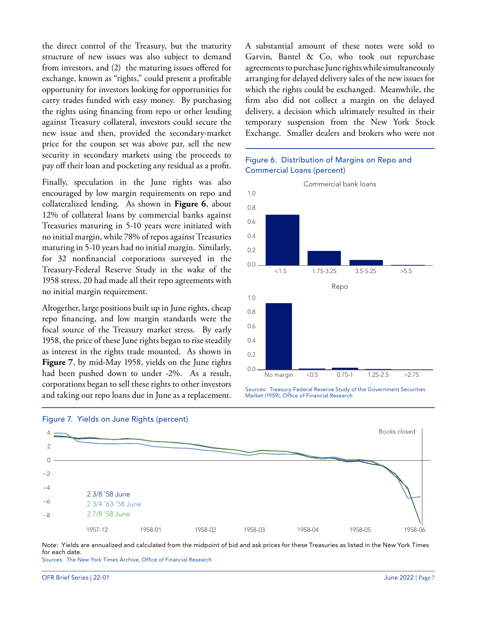the direct control of the Treasury, but the maturity structure of new issues was also subject to demand from investors, and (2) the maturing issues offered for exchange, known as "rights," could present a profitable opportunity for investors looking for opportunities for carry trades funded with easy money. By purchasing the rights using financing from repo or other lending against Treasury collateral, investors could secure the new issue and then, provided the secondary-market price for the coupon set was above par, sell the new security in secondary markets using the proceeds to pay off their loan and pocketing any residual as a profit.

Finally, speculation in the June rights was also encouraged by low margin requirements on repo and collateralized lending. As shown in **Figure 6**, about 12% of collateral loans by commercial banks against Treasuries maturing in 5-10 years were initiated with no initial margin, while 78% of repos against Treasuries maturing in 5-10 years had no initial margin. Similarly, for 32 nonfinancial corporations surveyed in the Treasury-Federal Reserve Study in the wake of the 1958 stress, 20 had made all their repo agreements with no initial margin requirement.

Altogether, large positions built up in June rights, cheap repo financing, and low margin standards were the focal source of the Treasury market stress. By early 1958, the price of these June rights began to rise steadily as interest in the rights trade mounted. As shown in **Figure 7**, by mid-May 1958, yields on the June rights had been pushed down to under -2%. As a result, corporations began to sell these rights to other investors and taking out repo loans due in June as a replacement. A substantial amount of these notes were sold to Garvin, Bantel & Co, who took out repurchase agreements to purchase June rights while simultaneously arranging for delayed delivery sales of the new issues for which the rights could be exchanged. Meanwhile, the firm also did not collect a margin on the delayed delivery, a decision which ultimately resulted in their temporary suspension from the New York Stock Exchange. Smaller dealers and brokers who were not

### Figure 6. Distribution of Margins on Repo and Commercial Loans (percent)



Sources: Treasury-Federal Reserve Study of the Government Securities Market (1959), Office of Financial Research





Note: Yields are annualized and calculated from the midpoint of bid and ask prices for these Treasuries as listed in the New York Times for each date.

Sources: The New York Times Archive, Office of Financial Research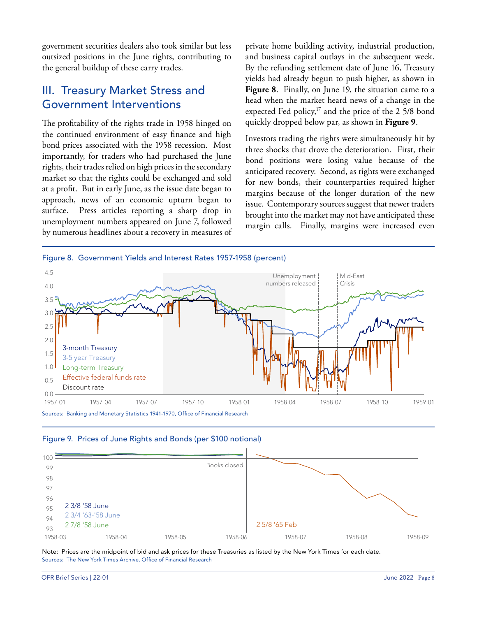<span id="page-7-0"></span>government securities dealers also took similar but less outsized positions in the June rights, contributing to the general buildup of these carry trades.

### III. Treasury Market Stress and Government Interventions

The profitability of the rights trade in 1958 hinged on the continued environment of easy finance and high bond prices associated with the 1958 recession. Most importantly, for traders who had purchased the June rights, their trades relied on high prices in the secondary market so that the rights could be exchanged and sold at a profit. But in early June, as the issue date began to approach, news of an economic upturn began to surface. Press articles reporting a sharp drop in unemployment numbers appeared on June 7, followed by numerous headlines about a recovery in measures of

private home building activity, industrial production, and business capital outlays in the subsequent week. By the refunding settlement date of June 16, Treasury yields had already begun to push higher, as shown in Figure 8. Finally, on June 19, the situation came to a head when the market heard news of a change in the expected Fed policy,<sup>17</sup> and the price of the 2 5/8 bond quickly dropped below par, as shown in **Figure 9**.

Investors trading the rights were simultaneously hit by three shocks that drove the deterioration. First, their bond positions were losing value because of the anticipated recovery. Second, as rights were exchanged for new bonds, their counterparties required higher margins because of the longer duration of the new issue. Contemporary sources suggest that newer traders brought into the market may not have anticipated these margin calls. Finally, margins were increased even







Note: Prices are the midpoint of bid and ask prices for these Treasuries as listed by the New York Times for each date. Sources: The New York Times Archive, Office of Financial Research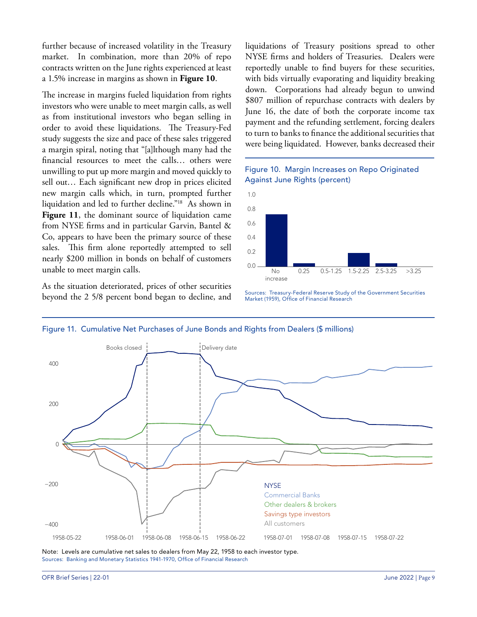<span id="page-8-0"></span>further because of increased volatility in the Treasury market. In combination, more than 20% of repo contracts written on the June rights experienced at least a 1.5% increase in margins as shown in **Figure 10**.

The increase in margins fueled liquidation from rights investors who were unable to meet margin calls, as well as from institutional investors who began selling in order to avoid these liquidations. The Treasury-Fed study suggests the size and pace of these sales triggered a margin spiral, noting that "[a]lthough many had the financial resources to meet the calls… others were unwilling to put up more margin and moved quickly to sell out… Each significant new drop in prices elicited new margin calls which, in turn, prompted further liquidation and led to further decline.["18](#page-14-0) As shown in Figure 11, the dominant source of liquidation came from NYSE firms and in particular Garvin, Bantel & Co, appears to have been the primary source of these sales. This firm alone reportedly attempted to sell nearly \$200 million in bonds on behalf of customers unable to meet margin calls.

As the situation deteriorated, prices of other securities beyond the 2 5/8 percent bond began to decline, and liquidations of Treasury positions spread to other NYSE firms and holders of Treasuries. Dealers were reportedly unable to find buyers for these securities, with bids virtually evaporating and liquidity breaking down. Corporations had already begun to unwind \$807 million of repurchase contracts with dealers by June 16, the date of both the corporate income tax payment and the refunding settlement, forcing dealers to turn to banks to finance the additional securities that were being liquidated. However, banks decreased their

### Figure 10. Margin Increases on Repo Originated Against June Rights (percent)



Sources: Treasury-Federal Reserve Study of the Government Securities Market (1959), Office of Financial Research



Figure 11. Cumulative Net Purchases of June Bonds and Rights from Dealers (\$ millions)

Note: Levels are cumulative net sales to dealers from May 22, 1958 to each investor type. Sources: Banking and Monetary Statistics 1941-1970, Office of Financial Research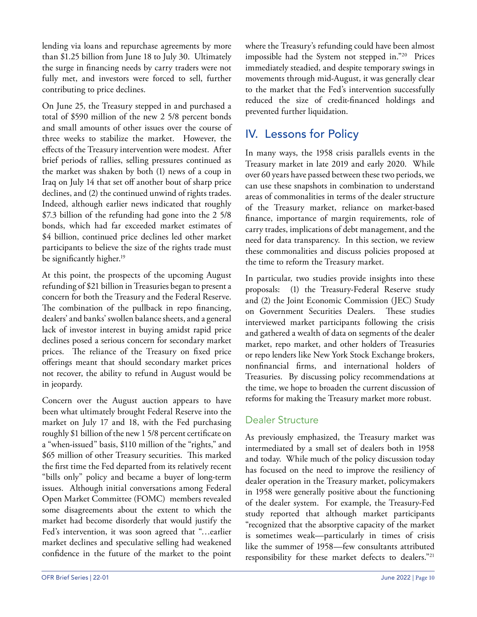<span id="page-9-0"></span>lending via loans and repurchase agreements by more than \$1.25 billion from June 18 to July 30. Ultimately the surge in financing needs by carry traders were not fully met, and investors were forced to sell, further contributing to price declines.

On June 25, the Treasury stepped in and purchased a total of \$590 million of the new 2 5/8 percent bonds and small amounts of other issues over the course of three weeks to stabilize the market. However, the effects of the Treasury intervention were modest. After brief periods of rallies, selling pressures continued as the market was shaken by both (1) news of a coup in Iraq on July 14 that set off another bout of sharp price declines, and (2) the continued unwind of rights trades. Indeed, although earlier news indicated that roughly \$7.3 billion of the refunding had gone into the 2 5/8 bonds, which had far exceeded market estimates of \$4 billion, continued price declines led other market participants to believe the size of the rights trade must be significantly higher.<sup>19</sup>

At this point, the prospects of the upcoming August refunding of \$21 billion in Treasuries began to present a concern for both the Treasury and the Federal Reserve. The combination of the pullback in repo financing, dealers' and banks' swollen balance sheets, and a general lack of investor interest in buying amidst rapid price declines posed a serious concern for secondary market prices. The reliance of the Treasury on fixed price offerings meant that should secondary market prices not recover, the ability to refund in August would be in jeopardy.

Concern over the August auction appears to have been what ultimately brought Federal Reserve into the market on July 17 and 18, with the Fed purchasing roughly \$1 billion of the new 1 5/8 percent certificate on a "when-issued" basis, \$110 million of the "rights," and \$65 million of other Treasury securities. This marked the first time the Fed departed from its relatively recent "bills only" policy and became a buyer of long-term issues. Although initial conversations among Federal Open Market Committee (FOMC) members revealed some disagreements about the extent to which the market had become disorderly that would justify the Fed's intervention, it was soon agreed that "…earlier market declines and speculative selling had weakened confidence in the future of the market to the point

where the Treasury's refunding could have been almost impossible had the System not stepped in."[20](#page-14-0) Prices immediately steadied, and despite temporary swings in movements through mid-August, it was generally clear to the market that the Fed's intervention successfully reduced the size of credit-financed holdings and prevented further liquidation.

# IV. Lessons for Policy

In many ways, the 1958 crisis parallels events in the Treasury market in late 2019 and early 2020. While over 60 years have passed between these two periods, we can use these snapshots in combination to understand areas of commonalities in terms of the dealer structure of the Treasury market, reliance on market-based finance, importance of margin requirements, role of carry trades, implications of debt management, and the need for data transparency. In this section, we review these commonalities and discuss policies proposed at the time to reform the Treasury market.

In particular, two studies provide insights into these proposals: (1) the Treasury-Federal Reserve study and (2) the Joint Economic Commission (JEC) Study on Government Securities Dealers. These studies interviewed market participants following the crisis and gathered a wealth of data on segments of the dealer market, repo market, and other holders of Treasuries or repo lenders like New York Stock Exchange brokers, nonfinancial firms, and international holders of Treasuries. By discussing policy recommendations at the time, we hope to broaden the current discussion of reforms for making the Treasury market more robust.

### Dealer Structure

As previously emphasized, the Treasury market was intermediated by a small set of dealers both in 1958 and today. While much of the policy discussion today has focused on the need to improve the resiliency of dealer operation in the Treasury market, policymakers in 1958 were generally positive about the functioning of the dealer system. For example, the Treasury-Fed study reported that although market participants "recognized that the absorptive capacity of the market is sometimes weak—particularly in times of crisis like the summer of 1958—few consultants attributed responsibility for these market defects to dealers.["21](#page-14-0)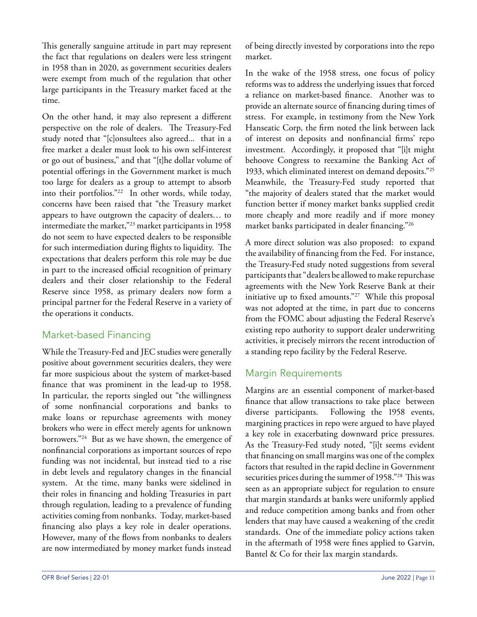<span id="page-10-0"></span>This generally sanguine attitude in part may represent the fact that regulations on dealers were less stringent in 1958 than in 2020, as government securities dealers were exempt from much of the regulation that other large participants in the Treasury market faced at the time.

On the other hand, it may also represent a different perspective on the role of dealers. The Treasury-Fed study noted that "[c]onsultees also agreed... that in a free market a dealer must look to his own self-interest or go out of business," and that "[t]he dollar volume of potential offerings in the Government market is much too large for dealers as a group to attempt to absorb into their portfolios."[22](#page-14-0) In other words, while today, concerns have been raised that "the Treasury market appears to have outgrown the capacity of dealers… to intermediate the market,"[23](#page-14-0) market participants in 1958 do not seem to have expected dealers to be responsible for such intermediation during flights to liquidity. The expectations that dealers perform this role may be due in part to the increased official recognition of primary dealers and their closer relationship to the Federal Reserve since 1958, as primary dealers now form a principal partner for the Federal Reserve in a variety of the operations it conducts.

### Market-based Financing

While the Treasury-Fed and JEC studies were generally positive about government securities dealers, they were far more suspicious about the system of market-based finance that was prominent in the lead-up to 1958. In particular, the reports singled out "the willingness of some nonfinancial corporations and banks to make loans or repurchase agreements with money brokers who were in effect merely agents for unknown borrowers."[24](#page-14-0) But as we have shown, the emergence of nonfinancial corporations as important sources of repo funding was not incidental, but instead tied to a rise in debt levels and regulatory changes in the financial system. At the time, many banks were sidelined in their roles in financing and holding Treasuries in part through regulation, leading to a prevalence of funding activities coming from nonbanks. Today, market-based financing also plays a key role in dealer operations. However, many of the flows from nonbanks to dealers are now intermediated by money market funds instead

of being directly invested by corporations into the repo market.

In the wake of the 1958 stress, one focus of policy reforms was to address the underlying issues that forced a reliance on market-based finance. Another was to provide an alternate source of financing during times of stress. For example, in testimony from the New York Hanseatic Corp, the firm noted the link between lack of interest on deposits and nonfinancial firms' repo investment. Accordingly, it proposed that "[i]t might behoove Congress to reexamine the Banking Act of 1933, which eliminated interest on demand deposits.["25](#page-14-0) Meanwhile, the Treasury-Fed study reported that "the majority of dealers stated that the market would function better if money market banks supplied credit more cheaply and more readily and if more money market banks participated in dealer financing.["26](#page-14-0)

A more direct solution was also proposed: to expand the availability of financing from the Fed. For instance, the Treasury-Fed study noted suggestions from several participants that "dealers be allowed to make repurchase agreements with the New York Reserve Bank at their initiative up to fixed amounts.["27](#page-14-0) While this proposal was not adopted at the time, in part due to concerns from the FOMC about adjusting the Federal Reserve's existing repo authority to support dealer underwriting activities, it precisely mirrors the recent introduction of a standing repo facility by the Federal Reserve.

### Margin Requirements

Margins are an essential component of market-based finance that allow transactions to take place between diverse participants. Following the 1958 events, margining practices in repo were argued to have played a key role in exacerbating downward price pressures. As the Treasury-Fed study noted, "[i]t seems evident that financing on small margins was one of the complex factors that resulted in the rapid decline in Government securities prices during the summer of 1958."[28](#page-14-0) This was seen as an appropriate subject for regulation to ensure that margin standards at banks were uniformly applied and reduce competition among banks and from other lenders that may have caused a weakening of the credit standards. One of the immediate policy actions taken in the aftermath of 1958 were fines applied to Garvin, Bantel & Co for their lax margin standards.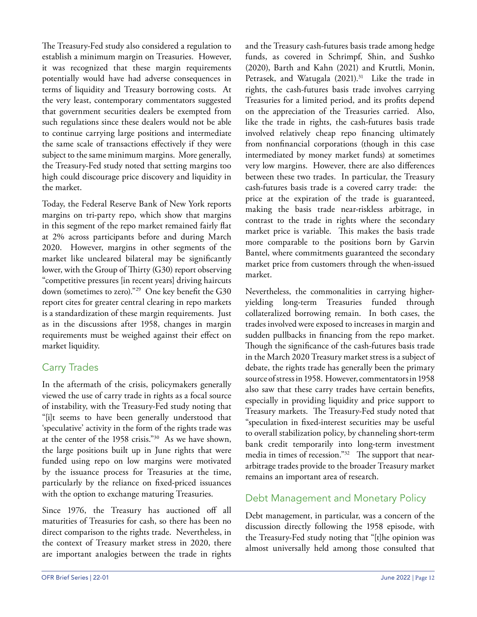<span id="page-11-0"></span>The Treasury-Fed study also considered a regulation to establish a minimum margin on Treasuries. However, it was recognized that these margin requirements potentially would have had adverse consequences in terms of liquidity and Treasury borrowing costs. At the very least, contemporary commentators suggested that government securities dealers be exempted from such regulations since these dealers would not be able to continue carrying large positions and intermediate the same scale of transactions effectively if they were subject to the same minimum margins. More generally, the Treasury-Fed study noted that setting margins too high could discourage price discovery and liquidity in the market.

Today, the Federal Reserve Bank of New York reports margins on tri-party repo, which show that margins in this segment of the repo market remained fairly flat at 2% across participants before and during March 2020. However, margins in other segments of the market like uncleared bilateral may be significantly lower, with the Group of Thirty (G30) report observing "competitive pressures [in recent years] driving haircuts down (sometimes to zero).["29](#page-14-0) One key benefit the G30 report cites for greater central clearing in repo markets is a standardization of these margin requirements. Just as in the discussions after 1958, changes in margin requirements must be weighed against their effect on market liquidity.

### Carry Trades

In the aftermath of the crisis, policymakers generally viewed the use of carry trade in rights as a focal source of instability, with the Treasury-Fed study noting that "[i]t seems to have been generally understood that 'speculative' activity in the form of the rights trade was at the center of the 1958 crisis."[30](#page-14-0) As we have shown, the large positions built up in June rights that were funded using repo on low margins were motivated by the issuance process for Treasuries at the time, particularly by the reliance on fixed-priced issuances with the option to exchange maturing Treasuries.

Since 1976, the Treasury has auctioned off all maturities of Treasuries for cash, so there has been no direct comparison to the rights trade. Nevertheless, in the context of Treasury market stress in 2020, there are important analogies between the trade in rights and the Treasury cash-futures basis trade among hedge funds, as covered in Schrimpf, Shin, and Sushko (2020), Barth and Kahn (2021) and Kruttli, Monin, Petrasek, and Watugala (2021).<sup>31</sup> Like the trade in rights, the cash-futures basis trade involves carrying Treasuries for a limited period, and its profits depend on the appreciation of the Treasuries carried. Also, like the trade in rights, the cash-futures basis trade involved relatively cheap repo financing ultimately from nonfinancial corporations (though in this case intermediated by money market funds) at sometimes very low margins. However, there are also differences between these two trades. In particular, the Treasury cash-futures basis trade is a covered carry trade: the price at the expiration of the trade is guaranteed, making the basis trade near-riskless arbitrage, in contrast to the trade in rights where the secondary market price is variable. This makes the basis trade more comparable to the positions born by Garvin Bantel, where commitments guaranteed the secondary market price from customers through the when-issued market.

Nevertheless, the commonalities in carrying higheryielding long-term Treasuries funded through collateralized borrowing remain. In both cases, the trades involved were exposed to increases in margin and sudden pullbacks in financing from the repo market. Though the significance of the cash-futures basis trade in the March 2020 Treasury market stress is a subject of debate, the rights trade has generally been the primary source of stress in 1958. However, commentators in 1958 also saw that these carry trades have certain benefits, especially in providing liquidity and price support to Treasury markets. The Treasury-Fed study noted that "speculation in fixed-interest securities may be useful to overall stabilization policy, by channeling short-term bank credit temporarily into long-term investment media in times of recession.["32](#page-14-0) The support that neararbitrage trades provide to the broader Treasury market remains an important area of research.

### Debt Management and Monetary Policy

Debt management, in particular, was a concern of the discussion directly following the 1958 episode, with the Treasury-Fed study noting that "[t]he opinion was almost universally held among those consulted that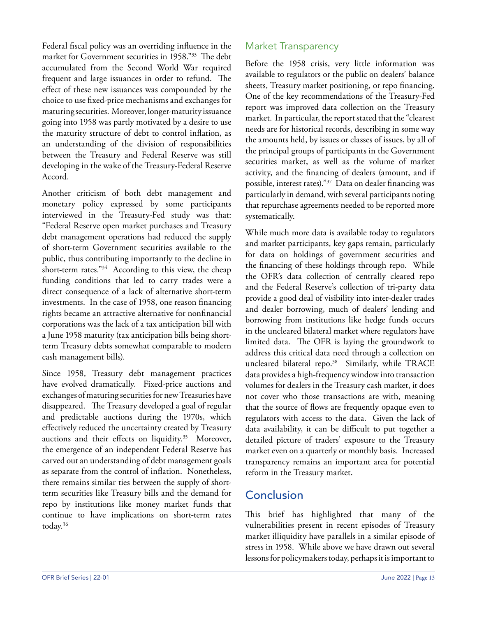<span id="page-12-0"></span>Federal fiscal policy was an overriding influence in the market for Government securities in 1958.["33](#page-14-0) The debt accumulated from the Second World War required frequent and large issuances in order to refund. The effect of these new issuances was compounded by the choice to use fixed-price mechanisms and exchanges for maturing securities. Moreover, longer-maturity issuance going into 1958 was partly motivated by a desire to use the maturity structure of debt to control inflation, as an understanding of the division of responsibilities between the Treasury and Federal Reserve was still developing in the wake of the Treasury-Federal Reserve Accord.

Another criticism of both debt management and monetary policy expressed by some participants interviewed in the Treasury-Fed study was that: "Federal Reserve open market purchases and Treasury debt management operations had reduced the supply of short-term Government securities available to the public, thus contributing importantly to the decline in short-term rates."<sup>34</sup> According to this view, the cheap funding conditions that led to carry trades were a direct consequence of a lack of alternative short-term investments. In the case of 1958, one reason financing rights became an attractive alternative for nonfinancial corporations was the lack of a tax anticipation bill with a June 1958 maturity (tax anticipation bills being shortterm Treasury debts somewhat comparable to modern cash management bills).

Since 1958, Treasury debt management practices have evolved dramatically. Fixed-price auctions and exchanges of maturing securities for new Treasuries have disappeared. The Treasury developed a goal of regular and predictable auctions during the 1970s, which effectively reduced the uncertainty created by Treasury auctions and their effects on liquidity.<sup>[35](#page-14-0)</sup> Moreover, the emergence of an independent Federal Reserve has carved out an understanding of debt management goals as separate from the control of inflation. Nonetheless, there remains similar ties between the supply of shortterm securities like Treasury bills and the demand for repo by institutions like money market funds that continue to have implications on short-term rates today.<sup>[36](#page-15-0)</sup>

### Market Transparency

Before the 1958 crisis, very little information was available to regulators or the public on dealers' balance sheets, Treasury market positioning, or repo financing. One of the key recommendations of the Treasury-Fed report was improved data collection on the Treasury market. In particular, the report stated that the "clearest needs are for historical records, describing in some way the amounts held, by issues or classes of issues, by all of the principal groups of participants in the Government securities market, as well as the volume of market activity, and the financing of dealers (amount, and if possible, interest rates).["37](#page-15-0) Data on dealer financing was particularly in demand, with several participants noting that repurchase agreements needed to be reported more systematically.

While much more data is available today to regulators and market participants, key gaps remain, particularly for data on holdings of government securities and the financing of these holdings through repo. While the OFR's data collection of centrally cleared repo and the Federal Reserve's collection of tri-party data provide a good deal of visibility into inter-dealer trades and dealer borrowing, much of dealers' lending and borrowing from institutions like hedge funds occurs in the uncleared bilateral market where regulators have limited data. The OFR is laying the groundwork to address this critical data need through a collection on uncleared bilateral repo.[38](#page-15-0) Similarly, while TRACE data provides a high-frequency window into transaction volumes for dealers in the Treasury cash market, it does not cover who those transactions are with, meaning that the source of flows are frequently opaque even to regulators with access to the data. Given the lack of data availability, it can be difficult to put together a detailed picture of traders' exposure to the Treasury market even on a quarterly or monthly basis. Increased transparency remains an important area for potential reform in the Treasury market.

## Conclusion

This brief has highlighted that many of the vulnerabilities present in recent episodes of Treasury market illiquidity have parallels in a similar episode of stress in 1958. While above we have drawn out several lessons for policymakers today, perhaps it is important to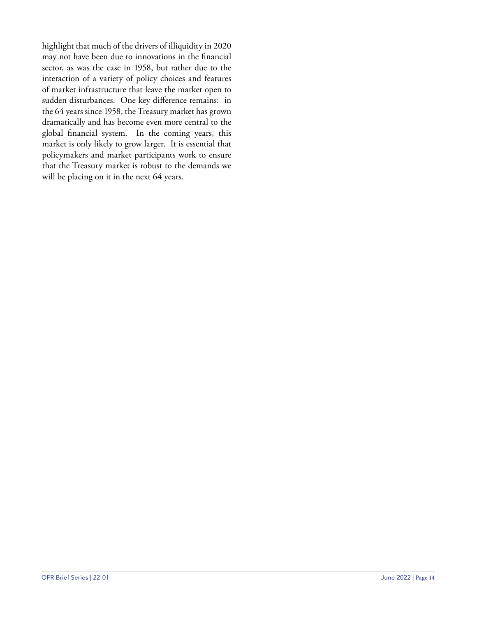highlight that much of the drivers of illiquidity in 2020 may not have been due to innovations in the financial sector, as was the case in 1958, but rather due to the interaction of a variety of policy choices and features of market infrastructure that leave the market open to sudden disturbances. One key difference remains: in the 64 years since 1958, the Treasury market has grown dramatically and has become even more central to the global financial system. In the coming years, this market is only likely to grow larger. It is essential that policymakers and market participants work to ensure that the Treasury market is robust to the demands we will be placing on it in the next 64 years.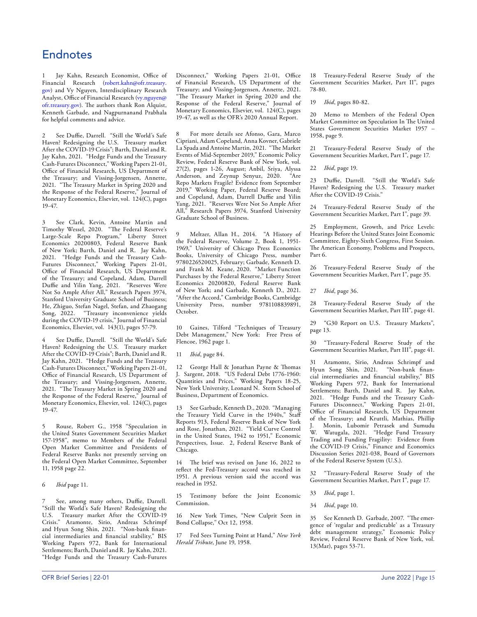### <span id="page-14-0"></span>Endnotes

Jay Kahn, Research Economist, Office of Financial Research [\(robert.kahn@ofr.treasury.](mailto:robert.kahn%40ofr.treasury.gov?subject=Treasury%20Market%20Stress%20Brief%2022-01) [gov\)](mailto:robert.kahn%40ofr.treasury.gov?subject=Treasury%20Market%20Stress%20Brief%2022-01) and Vy Nguyen, Interdisciplinary Research Analyst, Office of Financial Research (v[y.nguyen@](mailto:vy.nguyen%40ofr.treasury.gov?subject=Treasury%20Market%20Stress%20Brief%2022-01) [ofr.treasury.gov](mailto:vy.nguyen%40ofr.treasury.gov?subject=Treasury%20Market%20Stress%20Brief%2022-01)). The authors thank Ron Alquist, Kenneth Garbade, and Nagpurnanand Prabhala for helpful comments and advice.

See Duffie, Darrell. "Still the World's Safe Haven? Redesigning the U.S. Treasury market After the COVID-19 Crisis"; Barth, Daniel and R. Jay Kahn, 2021. "Hedge Funds and the Treasury Cash-Futures Disconnect," Working Papers 21-01, Office of Financial Research, US Department of the Treasury; and Vissing-Jorgensen, Annette, 2021. "The Treasury Market in Spring 2020 and the Response of the Federal Reserve," Journal of Monetary Economics, Elsevier, vol. 124(C), pages 19-47.

[3](#page-0-0) See Clark, Kevin, Antoine Martin and Timothy Wessel, 2020. "The Federal Reserve's Large-Scale Repo Program," Liberty Street Economics 20200803, Federal Reserve Bank of New York; Barth, Daniel and R. Jay Kahn, 2021. "Hedge Funds and the Treasury Cash-Futures Disconnect," Working Papers 21-01, Office of Financial Research, US Department of the Treasury; and Copeland, Adam, Darrell Duffie and Yilin Yang, 2021. "Reserves Were Not So Ample After All," Research Papers 3974, Stanford University Graduate School of Business; He, Zhiguo, Stefan Nagel, Stefan, and Zhaogang Song, 2022. "Treasury inconvenience yields during the COVID-19 crisis," Journal of Financial Economics, Elsevier, vol. 143(1), pages 57-79.

See Duffie, Darrell. "Still the World's Safe Haven? Redesigning the U.S. Treasury market After the COVID-19 Crisis"; Barth, Daniel and R. Jay Kahn, 2021. "Hedge Funds and the Treasury Cash-Futures Disconnect," Working Papers 21-01, Office of Financial Research, US Department of the Treasury; and Vissing-Jorgensen, Annette, 2021. "The Treasury Market in Spring 2020 and the Response of the Federal Reserve," Journal of Monetary Economics, Elsevier, vol. 124(C), pages 19-47.

[5](#page-0-0) Rouse, Robert G., 1958 "Speculation in the United States Government Securities Market 157-1958", memo to Members of the Federal Open Market Committee and Presidents of Federal Reserve Banks not presently serving on the Federal Open Market Committee, September 11, 1958 page 22.

#### [6](#page-1-0) *Ibid* page 11.

See, among many others, Duffie, Darrell. "Still the World's Safe Haven? Redesigning the U.S. Treasury market After the COVID-19 Crisis." Aramonte, Sirio, Andreas Schrimpf and Hyun Song Shin, 2021. "Non-bank financial intermediaries and financial stability," BIS Working Papers 972, Bank for International Settlements; Barth, Daniel and R. Jay Kahn, 2021. "Hedge Funds and the Treasury Cash-Futures

Disconnect," Working Papers 21-01, Office of Financial Research, US Department of the Treasury; and Vissing-Jorgensen, Annette, 2021. "The Treasury Market in Spring 2020 and the Response of the Federal Reserve," Journal of Monetary Economics, Elsevier, vol. 124(C), pages 19-47, as well as the OFR's 2020 Annual Report.

[8](#page-1-0) For more details see Afonso, Gara, Marco Cipriani, Adam Copeland, Anna Kovner, Gabriele La Spada and Antoine Martin, 2021. "The Market Events of Mid-September 2019," Economic Policy Review, Federal Reserve Bank of New York, vol. 27(2), pages 1-26, August; Anbil, Sriya, Alyssa Anderson, and Zeynup Senyuz, 2020. "Are Repo Markets Fragile? Evidence from September 2019," Working Paper, Federal Reserve Board; and Copeland, Adam, Darrell Duffie and Yilin Yang, 2021. "Reserves Were Not So Ample After All," Research Papers 3974, Stanford University Graduate School of Business.

[9](#page-1-0) Meltzer, Allan H., 2014. "A History of the Federal Reserve, Volume 2, Book 1, 1951- 1969," University of Chicago Press Economics Books, University of Chicago Press, number 9780226520025, February; Garbade, Kenneth D. and Frank M. Keane, 2020. "Market Function Purchases by the Federal Reserve," Liberty Street Economics 20200820, Federal Reserve Bank of New York; and Garbade, Kenneth D., 2021. "After the Accord," Cambridge Books, Cambridge University Press, number 9781108839891, October.

[10](#page-2-0) Gaines, Tilford "Techniques of Treasury Debt Management," New York: Free Press of Flencoe, 1962 page 1.

[11](#page-2-0) *Ibid*, page 84.

[12](#page-2-0) George Hall & Jonathan Payne & Thomas J. Sargent, 2018. "US Federal Debt 1776-1960: Quantities and Prices," Working Papers 18-25, New York University, Leonard N. Stern School of Business, Department of Economics.

[13](#page-3-0) See Garbade, Kenneth D., 2020. "Managing the Treasury Yield Curve in the 1940s," Staff Reports 913, Federal Reserve Bank of New York and Rose, Jonathan, 2021. "Yield Curve Control in the United States, 1942 to 1951," Economic Perspectives, Issue. 2, Federal Reserve Bank of Chicago.

[14](#page-3-0) The brief was revised on June 16, 2022 to reflect the Fed-Treasury accord was reached in 1951. A previous version said the accord was reached in 1952.

[15](#page-4-0) Testimony before the Joint Economic Commission.

[16](#page-5-0) New York Times, "New Culprit Seen in Bond Collapse," Oct 12, 1958.

[17](#page-7-0) Fed Sees Turning Point at Hand," *New York Herald Tribute*, June 19, 1958.

[18](#page-8-0) Treasury-Federal Reserve Study of the Government Securities Market, Part II", pages 78-80.

[19](#page-9-0) *Ibid*, pages 80-82.

[20](#page-9-0) Memo to Members of the Federal Open Market Committee on Speculation In The United States Government Securities Market 1957 – 1958, page 9.

[21](#page-9-0) Treasury-Federal Reserve Study of the Government Securities Market, Part I", page 17.

[22](#page-10-0) *Ibid*, page 19.

[23](#page-10-0) Duffie, Darrell. "Still the World's Safe Haven? Redesigning the U.S. Treasury market After the COVID-19 Crisis."

[24](#page-10-0) Treasury-Federal Reserve Study of the Government Securities Market, Part I", page 39.

[25](#page-10-0) Employment, Growth, and Price Levels: Hearings Before the United States Joint Economic Committee, Eighty-Sixth Congress, First Session. The American Economy, Problems and Prospects, Part 6.

[26](#page-10-0) Treasury-Federal Reserve Study of the Government Securities Market, Part I", page 35.

[27](#page-10-0) *Ibid*, page 36.

28 Treasury-Federal Reserve Study of the Government Securities Market, Part III", page 41.

[29](#page-11-0) "G30 Report on U.S. Treasury Markets", page 13.

[30](#page-11-0) "Treasury-Federal Reserve Study of the Government Securities Market, Part III", page 41.

[31](#page-11-0) Aramonte, Sirio, Andreas Schrimpf and Hyun Song Shin, 2021. "Non-bank financial intermediaries and financial stability," BIS Working Papers 972, Bank for International Settlements; Barth, Daniel and R. Jay Kahn, 2021. "Hedge Funds and the Treasury Cash-Futures Disconnect," Working Papers 21-01, Office of Financial Research, US Department of the Treasury; and Kruttli, Mathias, Phillip J. Monin, Lubomir Petrasek and Sumudu Watugala, 2021. "Hedge Fund Treasury Trading and Funding Fragility: Evidence from the COVID-19 Crisis," Finance and Economics Discussion Series 2021-038, Board of Governors of the Federal Reserve System (U.S.).

[32](#page-11-0) "Treasury-Federal Reserve Study of the Government Securities Market, Part I", page 17.

[33](#page-12-0) *Ibid*, page 1.

[34](#page-12-0) *Ibid*, page 10.

[35](#page-12-0) See Kenneth D. Garbade, 2007. "The emergence of 'regular and predictable' as a Treasury debt management strategy," Economic Policy Review, Federal Reserve Bank of New York, vol. 13(Mar), pages 53-71.